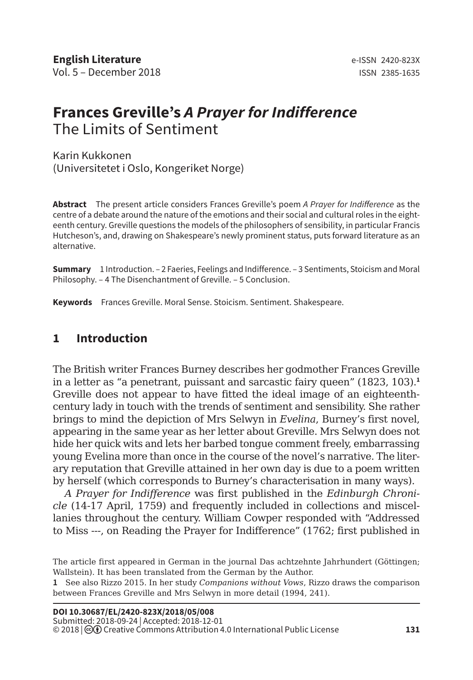# **Frances Greville's** *A Prayer for Indifference* The Limits of Sentiment

Karin Kukkonen (Universitetet i Oslo, Kongeriket Norge)

**Abstract** The present article considers Frances Greville's poem *A Prayer for Indifference* as the centre of a debate around the nature of the emotions and their social and cultural roles in the eighteenth century. Greville questions the models of the philosophers of sensibility, in particular Francis Hutcheson's, and, drawing on Shakespeare's newly prominent status, puts forward literature as an alternative.

**Summary** 1 Introduction. – 2 Faeries, Feelings and Indifference. – 3 Sentiments, Stoicism and Moral Philosophy. – 4 The Disenchantment of Greville. – 5 Conclusion.

**Keywords** Frances Greville. Moral Sense. Stoicism. Sentiment. Shakespeare.

#### **1 Introduction**

The British writer Frances Burney describes her godmother Frances Greville in a letter as "a penetrant, puissant and sarcastic fairy queen" (1823, 103).**<sup>1</sup>** Greville does not appear to have fitted the ideal image of an eighteenthcentury lady in touch with the trends of sentiment and sensibility. She rather brings to mind the depiction of Mrs Selwyn in *Evelina*, Burney's first novel, appearing in the same year as her letter about Greville. Mrs Selwyn does not hide her quick wits and lets her barbed tongue comment freely, embarrassing young Evelina more than once in the course of the novel's narrative. The literary reputation that Greville attained in her own day is due to a poem written by herself (which corresponds to Burney's characterisation in many ways).

*A Prayer for Indifference* was first published in the *Edinburgh Chronicle* (14-17 April, 1759) and frequently included in collections and miscellanies throughout the century. William Cowper responded with "Addressed to Miss ---, on Reading the Prayer for Indifference" (1762; first published in

The article first appeared in German in the journal Das achtzehnte Jahrhundert (Göttingen; Wallstein). It has been translated from the German by the Author.

**<sup>1</sup>** See also Rizzo 2015. In her study *Companions without Vows*, Rizzo draws the comparison between Frances Greville and Mrs Selwyn in more detail (1994, 241).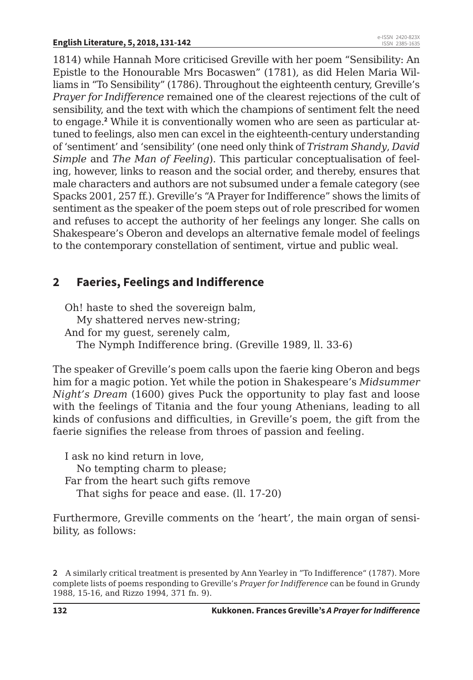1814) while Hannah More criticised Greville with her poem "Sensibility: An Epistle to the Honourable Mrs Bocaswen" (1781), as did Helen Maria Williams in "To Sensibility" (1786). Throughout the eighteenth century, Greville's *Prayer for Indifference* remained one of the clearest rejections of the cult of sensibility, and the text with which the champions of sentiment felt the need to engage.**<sup>2</sup>** While it is conventionally women who are seen as particular attuned to feelings, also men can excel in the eighteenth-century understanding of 'sentiment' and 'sensibility' (one need only think of *Tristram Shandy*, *David Simple* and *The Man of Feeling*). This particular conceptualisation of feeling, however, links to reason and the social order, and thereby, ensures that male characters and authors are not subsumed under a female category (see Spacks 2001, 257 ff.). Greville's "A Prayer for Indifference" shows the limits of sentiment as the speaker of the poem steps out of role prescribed for women and refuses to accept the authority of her feelings any longer. She calls on Shakespeare's Oberon and develops an alternative female model of feelings to the contemporary constellation of sentiment, virtue and public weal.

## **2 Faeries, Feelings and Indifference**

Oh! haste to shed the sovereign balm, My shattered nerves new-string; And for my guest, serenely calm, The Nymph Indifference bring. (Greville 1989, ll. 33-6)

The speaker of Greville's poem calls upon the faerie king Oberon and begs him for a magic potion. Yet while the potion in Shakespeare's *Midsummer Night's Dream* (1600) gives Puck the opportunity to play fast and loose with the feelings of Titania and the four young Athenians, leading to all kinds of confusions and difficulties, in Greville's poem, the gift from the faerie signifies the release from throes of passion and feeling.

I ask no kind return in love, No tempting charm to please; Far from the heart such gifts remove That sighs for peace and ease. (ll. 17-20)

Furthermore, Greville comments on the 'heart', the main organ of sensibility, as follows:

**<sup>2</sup>** A similarly critical treatment is presented by Ann Yearley in "To Indifference" (1787). More complete lists of poems responding to Greville's *Prayer for Indifference* can be found in Grundy 1988, 15-16, and Rizzo 1994, 371 fn. 9).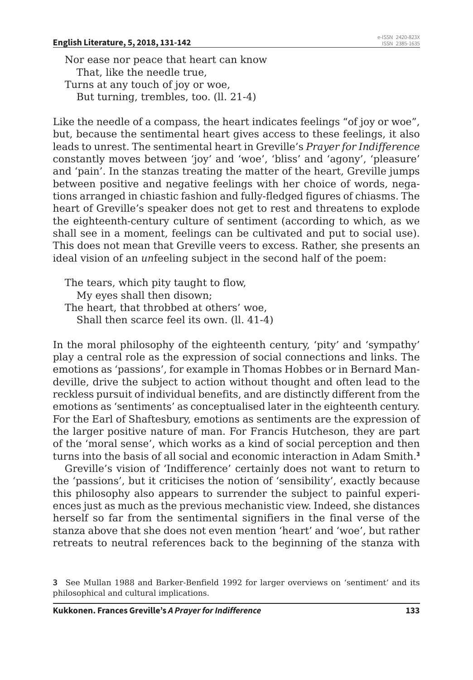#### **English Literature, 5, 2018, 131-142**

Nor ease nor peace that heart can know That, like the needle true, Turns at any touch of joy or woe, But turning, trembles, too. (ll. 21-4)

Like the needle of a compass, the heart indicates feelings "of joy or woe", but, because the sentimental heart gives access to these feelings, it also leads to unrest. The sentimental heart in Greville's *Prayer for Indifference* constantly moves between 'joy' and 'woe', 'bliss' and 'agony', 'pleasure' and 'pain'. In the stanzas treating the matter of the heart, Greville jumps between positive and negative feelings with her choice of words, negations arranged in chiastic fashion and fully-fledged figures of chiasms. The heart of Greville's speaker does not get to rest and threatens to explode the eighteenth-century culture of sentiment (according to which, as we shall see in a moment, feelings can be cultivated and put to social use). This does not mean that Greville veers to excess. Rather, she presents an ideal vision of an *un*feeling subject in the second half of the poem:

The tears, which pity taught to flow, My eyes shall then disown; The heart, that throbbed at others' woe, Shall then scarce feel its own. (ll. 41-4)

In the moral philosophy of the eighteenth century, 'pity' and 'sympathy' play a central role as the expression of social connections and links. The emotions as 'passions', for example in Thomas Hobbes or in Bernard Mandeville, drive the subject to action without thought and often lead to the reckless pursuit of individual benefits, and are distinctly different from the emotions as 'sentiments' as conceptualised later in the eighteenth century. For the Earl of Shaftesbury, emotions as sentiments are the expression of the larger positive nature of man. For Francis Hutcheson, they are part of the 'moral sense', which works as a kind of social perception and then turns into the basis of all social and economic interaction in Adam Smith.**<sup>3</sup>**

Greville's vision of 'Indifference' certainly does not want to return to the 'passions', but it criticises the notion of 'sensibility', exactly because this philosophy also appears to surrender the subject to painful experiences just as much as the previous mechanistic view. Indeed, she distances herself so far from the sentimental signifiers in the final verse of the stanza above that she does not even mention 'heart' and 'woe', but rather retreats to neutral references back to the beginning of the stanza with

**<sup>3</sup>** See Mullan 1988 and Barker-Benfield 1992 for larger overviews on 'sentiment' and its philosophical and cultural implications.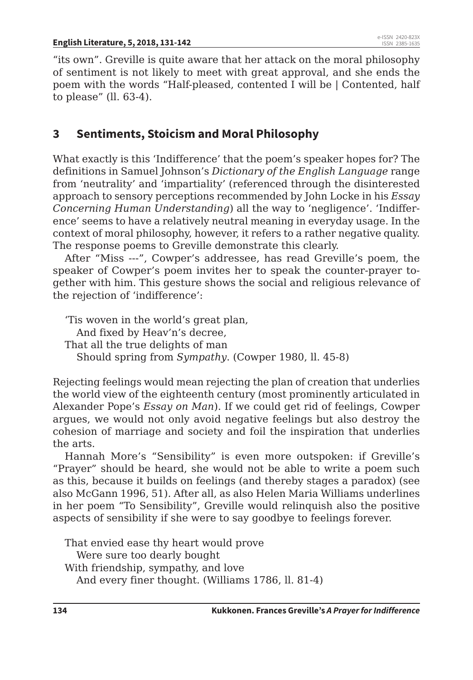"its own". Greville is quite aware that her attack on the moral philosophy of sentiment is not likely to meet with great approval, and she ends the poem with the words "Half-pleased, contented I will be | Contented, half to please" (ll. 63-4).

### **3 Sentiments, Stoicism and Moral Philosophy**

What exactly is this 'Indifference' that the poem's speaker hopes for? The definitions in Samuel Johnson's *Dictionary of the English Language* range from 'neutrality' and 'impartiality' (referenced through the disinterested approach to sensory perceptions recommended by John Locke in his *Essay Concerning Human Understanding*) all the way to 'negligence'. 'Indifference' seems to have a relatively neutral meaning in everyday usage. In the context of moral philosophy, however, it refers to a rather negative quality. The response poems to Greville demonstrate this clearly.

After "Miss ---", Cowper's addressee, has read Greville's poem, the speaker of Cowper's poem invites her to speak the counter-prayer together with him. This gesture shows the social and religious relevance of the rejection of 'indifference':

'Tis woven in the world's great plan, And fixed by Heav'n's decree, That all the true delights of man Should spring from *Sympathy*. (Cowper 1980, ll. 45-8)

Rejecting feelings would mean rejecting the plan of creation that underlies the world view of the eighteenth century (most prominently articulated in Alexander Pope's *Essay on Man*). If we could get rid of feelings, Cowper argues, we would not only avoid negative feelings but also destroy the cohesion of marriage and society and foil the inspiration that underlies the arts.

Hannah More's "Sensibility" is even more outspoken: if Greville's "Prayer" should be heard, she would not be able to write a poem such as this, because it builds on feelings (and thereby stages a paradox) (see also McGann 1996, 51). After all, as also Helen Maria Williams underlines in her poem "To Sensibility", Greville would relinquish also the positive aspects of sensibility if she were to say goodbye to feelings forever.

That envied ease thy heart would prove Were sure too dearly bought With friendship, sympathy, and love And every finer thought. (Williams 1786, ll. 81-4)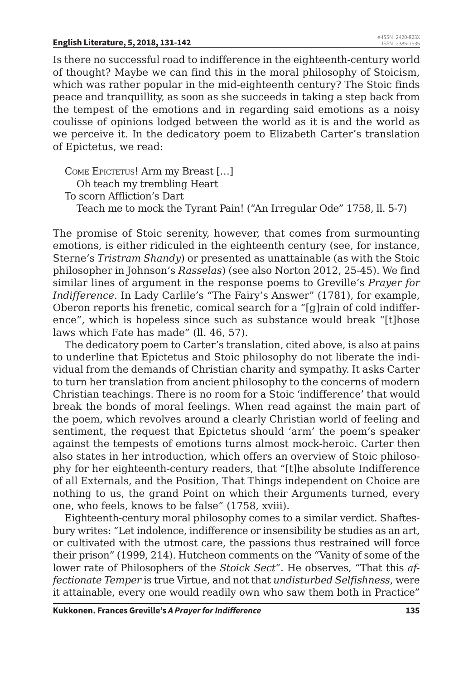Is there no successful road to indifference in the eighteenth-century world of thought? Maybe we can find this in the moral philosophy of Stoicism, which was rather popular in the mid-eighteenth century? The Stoic finds peace and tranquillity, as soon as she succeeds in taking a step back from the tempest of the emotions and in regarding said emotions as a noisy coulisse of opinions lodged between the world as it is and the world as we perceive it. In the dedicatory poem to Elizabeth Carter's translation of Epictetus, we read:

COME EPICTETUS! Arm my Breast [...] Oh teach my trembling Heart To scorn Affliction's Dart Teach me to mock the Tyrant Pain! ("An Irregular Ode" 1758, ll. 5-7)

The promise of Stoic serenity, however, that comes from surmounting emotions, is either ridiculed in the eighteenth century (see, for instance, Sterne's *Tristram Shandy*) or presented as unattainable (as with the Stoic philosopher in Johnson's *Rasselas*) (see also Norton 2012, 25-45). We find similar lines of argument in the response poems to Greville's *Prayer for Indifference*. In Lady Carlile's "The Fairy's Answer" (1781), for example, Oberon reports his frenetic, comical search for a "[g]rain of cold indifference", which is hopeless since such as substance would break "[t]hose laws which Fate has made" (ll. 46, 57).

The dedicatory poem to Carter's translation, cited above, is also at pains to underline that Epictetus and Stoic philosophy do not liberate the individual from the demands of Christian charity and sympathy. It asks Carter to turn her translation from ancient philosophy to the concerns of modern Christian teachings. There is no room for a Stoic 'indifference' that would break the bonds of moral feelings. When read against the main part of the poem, which revolves around a clearly Christian world of feeling and sentiment, the request that Epictetus should 'arm' the poem's speaker against the tempests of emotions turns almost mock-heroic. Carter then also states in her introduction, which offers an overview of Stoic philosophy for her eighteenth-century readers, that "[t]he absolute Indifference of all Externals, and the Position, That Things independent on Choice are nothing to us, the grand Point on which their Arguments turned, every one, who feels, knows to be false" (1758, xviii).

Eighteenth-century moral philosophy comes to a similar verdict. Shaftesbury writes: "Let indolence, indifference or insensibility be studies as an art, or cultivated with the utmost care, the passions thus restrained will force their prison" (1999, 214). Hutcheon comments on the "Vanity of some of the lower rate of Philosophers of the *Stoick Sect*". He observes, "That this *affectionate Temper* is true Virtue, and not that *undisturbed Selfishness*, were it attainable, every one would readily own who saw them both in Practice"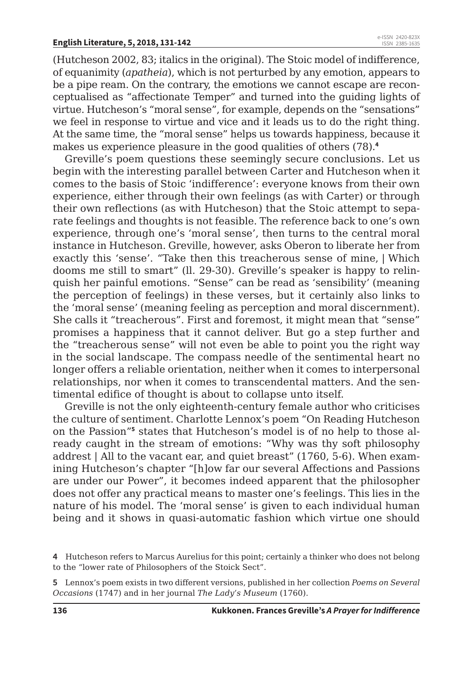(Hutcheson 2002, 83; italics in the original). The Stoic model of indifference, of equanimity (*apatheia*), which is not perturbed by any emotion, appears to be a pipe ream. On the contrary, the emotions we cannot escape are reconceptualised as "affectionate Temper" and turned into the guiding lights of virtue. Hutcheson's "moral sense", for example, depends on the "sensations" we feel in response to virtue and vice and it leads us to do the right thing. At the same time, the "moral sense" helps us towards happiness, because it makes us experience pleasure in the good qualities of others (78).**<sup>4</sup>**

Greville's poem questions these seemingly secure conclusions. Let us begin with the interesting parallel between Carter and Hutcheson when it comes to the basis of Stoic 'indifference': everyone knows from their own experience, either through their own feelings (as with Carter) or through their own reflections (as with Hutcheson) that the Stoic attempt to separate feelings and thoughts is not feasible. The reference back to one's own experience, through one's 'moral sense', then turns to the central moral instance in Hutcheson. Greville, however, asks Oberon to liberate her from exactly this 'sense'. "Take then this treacherous sense of mine, | Which dooms me still to smart" (ll. 29-30). Greville's speaker is happy to relinquish her painful emotions. "Sense" can be read as 'sensibility' (meaning the perception of feelings) in these verses, but it certainly also links to the 'moral sense' (meaning feeling as perception and moral discernment). She calls it "treacherous". First and foremost, it might mean that "sense" promises a happiness that it cannot deliver. But go a step further and the "treacherous sense" will not even be able to point you the right way in the social landscape. The compass needle of the sentimental heart no longer offers a reliable orientation, neither when it comes to interpersonal relationships, nor when it comes to transcendental matters. And the sentimental edifice of thought is about to collapse unto itself.

Greville is not the only eighteenth-century female author who criticises the culture of sentiment. Charlotte Lennox's poem "On Reading Hutcheson on the Passion"<sup>5</sup> states that Hutcheson's model is of no help to those already caught in the stream of emotions: "Why was thy soft philosophy addrest | All to the vacant ear, and quiet breast" (1760, 5-6). When examining Hutcheson's chapter "[h]ow far our several Affections and Passions are under our Power", it becomes indeed apparent that the philosopher does not offer any practical means to master one's feelings. This lies in the nature of his model. The 'moral sense' is given to each individual human being and it shows in quasi-automatic fashion which virtue one should

**<sup>4</sup>** Hutcheson refers to Marcus Aurelius for this point; certainly a thinker who does not belong to the "lower rate of Philosophers of the Stoick Sect".

**<sup>5</sup>** Lennox's poem exists in two different versions, published in her collection *Poems on Several Occasions* (1747) and in her journal *The Lady's Museum* (1760).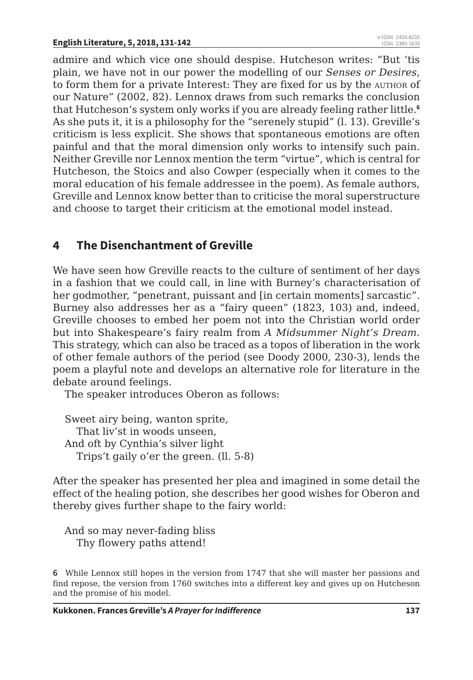admire and which vice one should despise. Hutcheson writes: "But 'tis plain, we have not in our power the modelling of our *Senses or Desires*, to form them for a private Interest: They are fixed for us by the author of our Nature" (2002, 82). Lennox draws from such remarks the conclusion that Hutcheson's system only works if you are already feeling rather little.**<sup>6</sup>** As she puts it, it is a philosophy for the "serenely stupid" (l. 13). Greville's criticism is less explicit. She shows that spontaneous emotions are often painful and that the moral dimension only works to intensify such pain. Neither Greville nor Lennox mention the term "virtue", which is central for Hutcheson, the Stoics and also Cowper (especially when it comes to the moral education of his female addressee in the poem). As female authors, Greville and Lennox know better than to criticise the moral superstructure and choose to target their criticism at the emotional model instead.

### **4 The Disenchantment of Greville**

We have seen how Greville reacts to the culture of sentiment of her days in a fashion that we could call, in line with Burney's characterisation of her godmother, "penetrant, puissant and [in certain moments] sarcastic". Burney also addresses her as a "fairy queen" (1823, 103) and, indeed, Greville chooses to embed her poem not into the Christian world order but into Shakespeare's fairy realm from *A Midsummer Night's Dream*. This strategy, which can also be traced as a topos of liberation in the work of other female authors of the period (see Doody 2000, 230-3), lends the poem a playful note and develops an alternative role for literature in the debate around feelings.

The speaker introduces Oberon as follows:

Sweet airy being, wanton sprite, That liv'st in woods unseen, And oft by Cynthia's silver light Trips't gaily o'er the green. (ll. 5-8)

After the speaker has presented her plea and imagined in some detail the effect of the healing potion, she describes her good wishes for Oberon and thereby gives further shape to the fairy world:

And so may never-fading bliss Thy flowery paths attend!

**6** While Lennox still hopes in the version from 1747 that she will master her passions and find repose, the version from 1760 switches into a different key and gives up on Hutcheson and the promise of his model.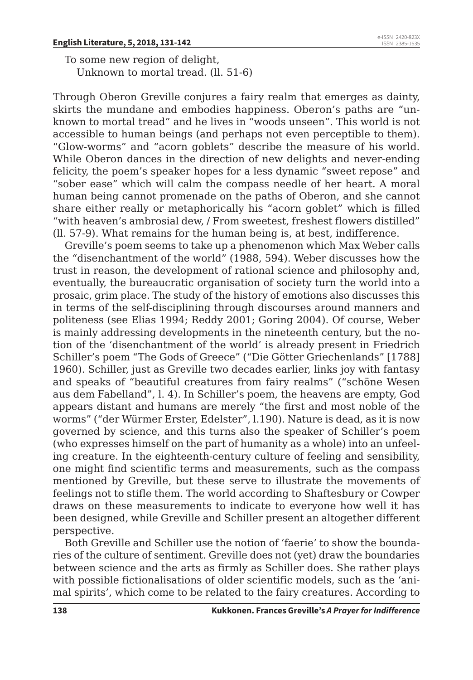To some new region of delight, Unknown to mortal tread. (ll. 51-6)

Through Oberon Greville conjures a fairy realm that emerges as dainty, skirts the mundane and embodies happiness. Oberon's paths are "unknown to mortal tread" and he lives in "woods unseen". This world is not accessible to human beings (and perhaps not even perceptible to them). "Glow-worms" and "acorn goblets" describe the measure of his world. While Oberon dances in the direction of new delights and never-ending felicity, the poem's speaker hopes for a less dynamic "sweet repose" and "sober ease" which will calm the compass needle of her heart. A moral human being cannot promenade on the paths of Oberon, and she cannot share either really or metaphorically his "acorn goblet" which is filled "with heaven's ambrosial dew, / From sweetest, freshest flowers distilled" (ll. 57-9). What remains for the human being is, at best, indifference.

Greville's poem seems to take up a phenomenon which Max Weber calls the "disenchantment of the world" (1988, 594). Weber discusses how the trust in reason, the development of rational science and philosophy and, eventually, the bureaucratic organisation of society turn the world into a prosaic, grim place. The study of the history of emotions also discusses this in terms of the self-disciplining through discourses around manners and politeness (see Elias 1994; Reddy 2001; Goring 2004). Of course, Weber is mainly addressing developments in the nineteenth century, but the notion of the 'disenchantment of the world' is already present in Friedrich Schiller's poem "The Gods of Greece" ("Die Götter Griechenlands" [1788] 1960). Schiller, just as Greville two decades earlier, links joy with fantasy and speaks of "beautiful creatures from fairy realms" ("schöne Wesen aus dem Fabelland", l. 4). In Schiller's poem, the heavens are empty, God appears distant and humans are merely "the first and most noble of the worms" ("der Würmer Erster, Edelster", l.190). Nature is dead, as it is now governed by science, and this turns also the speaker of Schiller's poem (who expresses himself on the part of humanity as a whole) into an unfeeling creature. In the eighteenth-century culture of feeling and sensibility, one might find scientific terms and measurements, such as the compass mentioned by Greville, but these serve to illustrate the movements of feelings not to stifle them. The world according to Shaftesbury or Cowper draws on these measurements to indicate to everyone how well it has been designed, while Greville and Schiller present an altogether different perspective.

Both Greville and Schiller use the notion of 'faerie' to show the boundaries of the culture of sentiment. Greville does not (yet) draw the boundaries between science and the arts as firmly as Schiller does. She rather plays with possible fictionalisations of older scientific models, such as the 'animal spirits', which come to be related to the fairy creatures. According to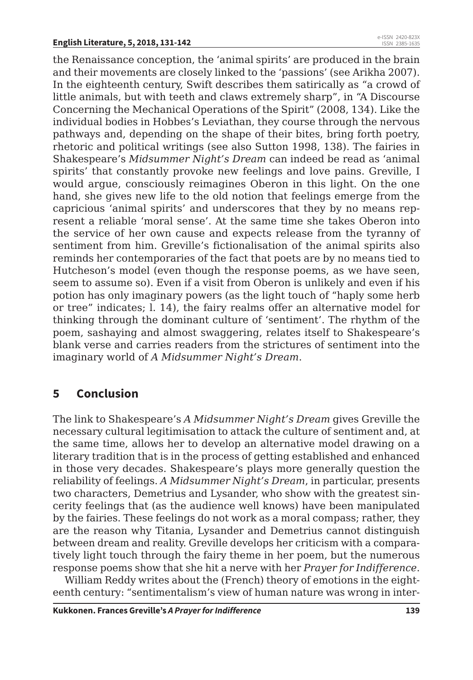the Renaissance conception, the 'animal spirits' are produced in the brain and their movements are closely linked to the 'passions' (see Arikha 2007). In the eighteenth century, Swift describes them satirically as "a crowd of little animals, but with teeth and claws extremely sharp", in "A Discourse Concerning the Mechanical Operations of the Spirit" (2008, 134). Like the individual bodies in Hobbes's Leviathan, they course through the nervous pathways and, depending on the shape of their bites, bring forth poetry, rhetoric and political writings (see also Sutton 1998, 138). The fairies in Shakespeare's *Midsummer Night's Dream* can indeed be read as 'animal spirits' that constantly provoke new feelings and love pains. Greville, I would argue, consciously reimagines Oberon in this light. On the one hand, she gives new life to the old notion that feelings emerge from the capricious 'animal spirits' and underscores that they by no means represent a reliable 'moral sense'. At the same time she takes Oberon into the service of her own cause and expects release from the tyranny of sentiment from him. Greville's fictionalisation of the animal spirits also reminds her contemporaries of the fact that poets are by no means tied to Hutcheson's model (even though the response poems, as we have seen, seem to assume so). Even if a visit from Oberon is unlikely and even if his potion has only imaginary powers (as the light touch of "haply some herb or tree" indicates; l. 14), the fairy realms offer an alternative model for thinking through the dominant culture of 'sentiment'. The rhythm of the poem, sashaying and almost swaggering, relates itself to Shakespeare's blank verse and carries readers from the strictures of sentiment into the imaginary world of *A Midsummer Night's Dream*.

# **5 Conclusion**

The link to Shakespeare's *A Midsummer Night's Dream* gives Greville the necessary cultural legitimisation to attack the culture of sentiment and, at the same time, allows her to develop an alternative model drawing on a literary tradition that is in the process of getting established and enhanced in those very decades. Shakespeare's plays more generally question the reliability of feelings. *A Midsummer Night's Dream*, in particular, presents two characters, Demetrius and Lysander, who show with the greatest sincerity feelings that (as the audience well knows) have been manipulated by the fairies. These feelings do not work as a moral compass; rather, they are the reason why Titania, Lysander and Demetrius cannot distinguish between dream and reality. Greville develops her criticism with a comparatively light touch through the fairy theme in her poem, but the numerous response poems show that she hit a nerve with her *Prayer for Indifference*.

William Reddy writes about the (French) theory of emotions in the eighteenth century: "sentimentalism's view of human nature was wrong in inter-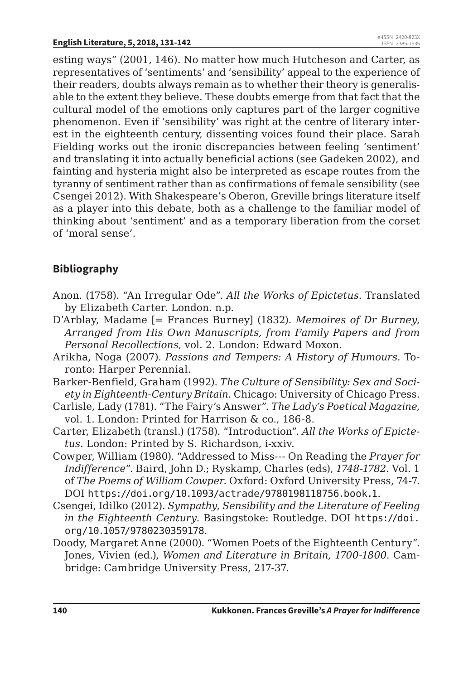esting ways" (2001, 146). No matter how much Hutcheson and Carter, as representatives of 'sentiments' and 'sensibility' appeal to the experience of their readers, doubts always remain as to whether their theory is generalisable to the extent they believe. These doubts emerge from that fact that the cultural model of the emotions only captures part of the larger cognitive phenomenon. Even if 'sensibility' was right at the centre of literary interest in the eighteenth century, dissenting voices found their place. Sarah Fielding works out the ironic discrepancies between feeling 'sentiment' and translating it into actually beneficial actions (see Gadeken 2002), and fainting and hysteria might also be interpreted as escape routes from the tyranny of sentiment rather than as confirmations of female sensibility (see Csengei 2012). With Shakespeare's Oberon, Greville brings literature itself as a player into this debate, both as a challenge to the familiar model of thinking about 'sentiment' and as a temporary liberation from the corset of 'moral sense'.

#### **Bibliography**

- Anon. (1758). "An Irregular Ode". *All the Works of Epictetus*. Translated by Elizabeth Carter. London. n.p.
- D'Arblay, Madame [= Frances Burney] (1832). *Memoires of Dr Burney, Arranged from His Own Manuscripts, from Family Papers and from Personal Recollections*, vol. 2. London: Edward Moxon.
- Arikha, Noga (2007). *Passions and Tempers: A History of Humours*. Toronto: Harper Perennial.
- Barker-Benfield, Graham (1992). *The Culture of Sensibility: Sex and Society in Eighteenth-Century Britain*. Chicago: University of Chicago Press.
- Carlisle, Lady (1781). "The Fairy's Answer". *The Lady's Poetical Magazine*, vol. 1. London: Printed for Harrison & co., 186-8.
- Carter, Elizabeth (transl.) (1758). "Introduction". *All the Works of Epictetus*. London: Printed by S. Richardson, i-xxiv.
- Cowper, William (1980). "Addressed to Miss--- On Reading the *Prayer for Indifference*". Baird, John D.; Ryskamp, Charles (eds), *1748-1782*. Vol. 1 of *The Poems of William Cowper*. Oxford: Oxford University Press, 74-7. DOI https://doi.org/10.1093/actrade/9780198118756.book.1.
- Csengei, Idilko (2012). *Sympathy, Sensibility and the Literature of Feeling in the Eighteenth Century*. Basingstoke: Routledge. DOI https://doi. org/10.1057/9780230359178.
- Doody, Margaret Anne (2000). "Women Poets of the Eighteenth Century". Jones, Vivien (ed.), *Women and Literature in Britain, 1700-1800*. Cambridge: Cambridge University Press, 217-37.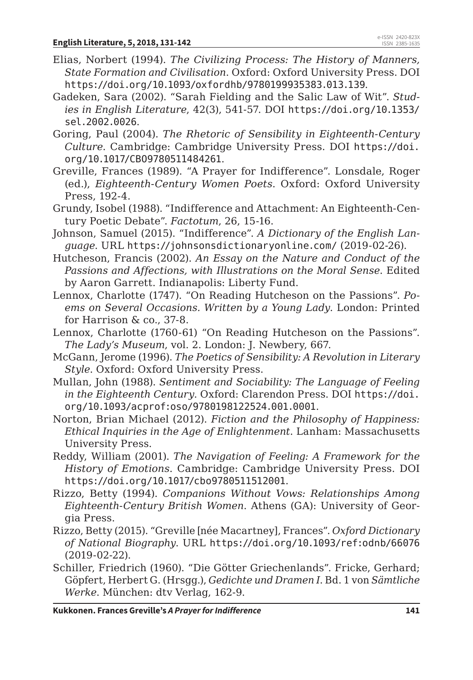- Elias, Norbert (1994). *The Civilizing Process: The History of Manners, State Formation and Civilisation*. Oxford: Oxford University Press. DOI https://doi.org/10.1093/oxfordhb/9780199935383.013.139.
- Gadeken, Sara (2002). "Sarah Fielding and the Salic Law of Wit". *Studies in English Literature*, 42(3), 541-57. DOI https://doi.org/10.1353/ sel.2002.0026.
- Goring, Paul (2004). *The Rhetoric of Sensibility in Eighteenth-Century Culture*. Cambridge: Cambridge University Press. DOI https://doi. org/10.1017/CBO9780511484261.
- Greville, Frances (1989). "A Prayer for Indifference". Lonsdale, Roger (ed.), *Eighteenth-Century Women Poets*. Oxford: Oxford University Press, 192-4.
- Grundy, Isobel (1988). "Indifference and Attachment: An Eighteenth-Century Poetic Debate". *Factotum*, 26, 15-16.
- Johnson, Samuel (2015). "Indifference". *A Dictionary of the English Language*. URL https://johnsonsdictionaryonline.com/ (2019-02-26).
- Hutcheson, Francis (2002). *An Essay on the Nature and Conduct of the Passions and Affections, with Illustrations on the Moral Sense*. Edited by Aaron Garrett. Indianapolis: Liberty Fund.
- Lennox, Charlotte (1747). "On Reading Hutcheson on the Passions". *Poems on Several Occasions. Written by a Young Lady*. London: Printed for Harrison & co., 37-8.
- Lennox, Charlotte (1760-61) "On Reading Hutcheson on the Passions". *The Lady's Museum*, vol. 2. London: J. Newbery, 667.
- McGann, Jerome (1996). *The Poetics of Sensibility: A Revolution in Literary Style*. Oxford: Oxford University Press.
- Mullan, John (1988). *Sentiment and Sociability: The Language of Feeling in the Eighteenth Century*. Oxford: Clarendon Press. DOI https://doi. org/10.1093/acprof:oso/9780198122524.001.0001.
- Norton, Brian Michael (2012). *Fiction and the Philosophy of Happiness: Ethical Inquiries in the Age of Enlightenment*. Lanham: Massachusetts University Press.
- Reddy, William (2001). *The Navigation of Feeling: A Framework for the History of Emotions*. Cambridge: Cambridge University Press. DOI https://doi.org/10.1017/cbo9780511512001.
- Rizzo, Betty (1994). *Companions Without Vows: Relationships Among Eighteenth-Century British Women*. Athens (GA): University of Georgia Press.
- Rizzo, Betty (2015). "Greville [née Macartney], Frances". *Oxford Dictionary of National Biography*. URL https://doi.org/10.1093/ref:odnb/66076 (2019-02-22).
- Schiller, Friedrich (1960). "Die Götter Griechenlands". Fricke, Gerhard; Göpfert, Herbert G. (Hrsgg.), *Gedichte und Dramen I*. Bd. 1 von *Sämtliche Werke*. München: dtv Verlag, 162-9.